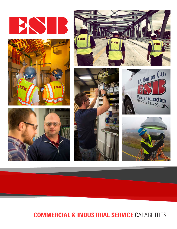













# **COMMERCIAL & INDUSTRIAL SERVICE** CAPABILITIES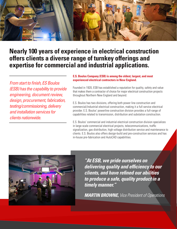

# **Nearly 100 years of experience in electrical construction offers clients a diverse range of turnkey offerings and expertise for commercial and industrial applications.**

*From start to finish, ES Boulos (ESB) has the capability to provide engineering, document review, design, procurement, fabrication, testing/commissioning, delivery and installation services for clients nationwide.* 

### **E.S. Boulos Company (ESB) is among the oldest, largest, and most experienced electrical contractors in New England.**

Founded in 1920, ESB has established a reputation for quality, safety and value that makes them a contractor of choice for major electrical construction projects throughout Northern New England and beyond.

E.S. Boulos has two divisions, offering both power line construction and commercial/industrial electrical construction, making it a full service electrical provider. E.S. Boulos' powerline construction division provides a full-range of capabilities related to transmission, distribution and substation construction.

E.S. Boulos' commercial and industrial electrical construction division specializes in large-scale commercial electrical projects, telecommunications, traffic signalization, gas distribution, high voltage distribution service and maintenance to clients. E.S. Boulos also offers design-build and pre-construction services and has in-house pre-fabrication and AutoCAD capabilities.



*"At ESB, we pride ourselves on delivering quality and efficiency to our clients, and have refined our abilities to produce a safe, quality product in a timely manner."* 

*MARTIN BROWNE, Vice President of Operations*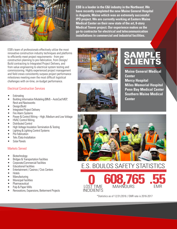

**ESB is a leader in the C&I industry in the Northeast. We have recently completed the new Maine General Hospital in Augusta, Maine which was an extremely successful IPD project. We are currently working at Eastern Maine Medical Center on their new state of the art, 8-story Medical Tower project. Our experience makes us the go-to contractor for electrical and telecommunication installations in commercial and industrial facilities.**

ESB's team of professionals effectively utilize the most innovative construction industry techniques and platforms to efficiently meet project requirements - from preconstruction planning to pre-fabrication, from Design/ Build contracting to Integrated Project Delivery, and from value engineering to electrical system testing and commissioning. Highly experienced project management and field crews consistently surpass project performance milestones meeting even the most difficult logistical challenges with on-time, on-budget performance.

## Electrical Construction Services

- **Estimating**
- Building Information Modeling (BIM) AutoCad MEP, Revit and Navisworks
- Design/Build
- Integrated Project Delivery
- Fire Alarm Systems
- Power & Control Wiring High, Medium and Low Voltage
- HVAC Control Wiring
- Distributed Control
- High Voltage Insulation Termination & Testing
- Lighting & Lighting Control Systems
- Pre-Fabrication
- Tele /Data Installation
- Solar Panels

## Markets Served

- Biotechnology
- Bridges & Transportation Facilities
- Corporate/Commercial Facilities
- Educational Facilities
- Entertainment / Casinos / Civic Centers
- Hotels
- Manufacturing
- **Municipal Facilities**
- Pharmaceutical
- Pulp & Paper Mills
- Renovations, Expansions, Betterment Projects





INCIDIENTS

# **SAMPLE** CLIENTS

**Maine General Medical Center Mercy Hospital Miles Memorial Hospital Penn Bay Medical Center Southern Maine Medical Center**



E.S. BOULOS SAFETY STATISTICS **0** LOST TIME **608,76 .55**

\*Statistics as of 12/31/2016 / EMR rate is 2016-2017